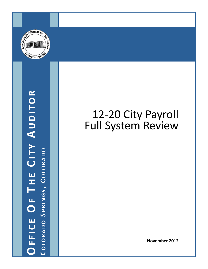

OFFICE OF THE CITY AUDITOR **OFFICE OF T H E C ITY A UDITOR COLORADO S PRINGS , C OLORADO**

## 12-20 City Payroll Full System Review

**November 2012**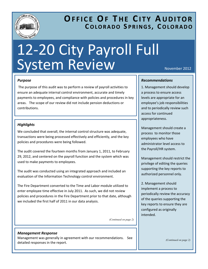

## **OFFICE OF T H E C ITY A UDITOR COLORADO S PRINGS , C OLORADO**

# 12‐20 City Payroll Full System Review November 2012

#### *Purpose*

The purpose of this audit was to perform a review of payroll activities to ensure an adequate internal control environment, accurate and timely payments to employees, and compliance with policies and procedures in key areas. The scope of our review did not include pension deductions or contributions.

#### *Highlights*

We concluded that overall, the internal control structure was adequate, transactions were being processed effectively and efficiently, and the key policies and procedures were being followed.

The audit covered the fourteen months from January 1, 2011, to February 29, 2012, and centered on the payroll function and the system which was used to make payments to employees.

The audit was conducted using an integrated approach and included an evaluation of the Information Technology control environment.

The Fire Department converted to the Time and Labor module utilized to enter employee time effective in July 2011. As such, we did not review policies and procedures in the Fire Department prior to that date, although we included the first half of 2011 in our data analysis.

*(Continued on page 2)* 

#### *Management Response*

Management was generally in agreement with our recommendations. See detailed responses in the report.

#### *Recommendations*

1. Management should develop a process to ensure access levels are appropriate for an employee's job responsibilities and to periodically review such access for continued appropriateness.

Management should create a process to monitor those employees who have administrator level access to the Payroll/HR system.

Management should restrict the privilege of editing the queries supporting the key reports to authorized personnel only.

2. Management should implement a process to periodically review the accuracy of the queries supporting the key reports to ensure they are configured as originally intended.

*(Continued on page 2)*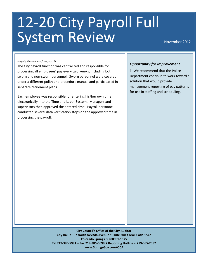## 12‐20 City Payroll Full System Review

November 2012

#### *(Highlights continued from page 1)*

The City payroll function was centralized and responsible for processing all employees' pay every two weeks, including both sworn and non‐sworn personnel. Sworn personnel were covered under a different policy and procedure manual and participated in separate retirement plans.

Each employee was responsible for entering his/her own time electronically into the Time and Labor System. Managers and supervisors then approved the entered time. Payroll personnel conducted several data verification steps on the approved time in processing the payroll.

#### *Opportunity for Improvement*

1. We recommend that the Police Department continue to work toward a solution that would provide management reporting of pay patterns for use in staffing and scheduling.

**City Council's Office of the City Auditor City Hall 107 North Nevada Avenue Suite 200 Mail Code 1542 Colorado Springs CO 80901‐1575 Tel 719‐385‐5991 Fax 719‐385‐5699 Reporting Hotline 719‐385‐2387 www.SpringsGov.com/OCA**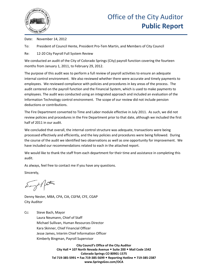

Date: November 14, 2012

To: President of Council Hente, President Pro-Tem Martin, and Members of City Council

Re: 12-20 City Payroll Full System Review

We conducted an audit of the City of Colorado Springs (City) payroll function covering the fourteen months from January 1, 2011, to February 29, 2012.

The purpose of this audit was to perform a full review of payroll activities to ensure an adequate internal control environment. We also reviewed whether there were accurate and timely payments to employees. We reviewed compliance with policies and procedures in key areas of the process. The audit centered on the payroll function and the Financial System, which is used to make payments to employees. The audit was conducted using an integrated approach and included an evaluation of the Information Technology control environment. The scope of our review did not include pension deductions or contributions.

The Fire Department converted to Time and Labor module effective in July 2011. As such, we did not review policies and procedures in the Fire Department prior to that date, although we included the first half of 2011 in our audit.

We concluded that overall, the internal control structure was adequate, transactions were being processed effectively and efficiently, and the key policies and procedures were being followed. During the course of the audit we identified two observations as well as one opportunity for improvement. We have included our recommendations related to each in the attached report.

We would like to thank the staff from each department for their time and assistance in completing this audit.

As always, feel free to contact me if you have any questions.

Sincerely,

Say 21 factor

Denny Nester, MBA, CPA, CIA, CGFM, CFE, CGAP City Auditor

Cc: Steve Bach, Mayor Laura Neumann, Chief of Staff Michael Sullivan, Human Resources Director Kara Skinner, Chief Financial Officer Jesse James, Interim Chief Information Officer Kimberly Bingman, Payroll Supervisor

> **City Council's Office of the City Auditor City Hall 107 North Nevada Avenue Suite 200 Mail Code 1542 Colorado Springs CO 80901-1575 Tel 719-385-5991 Fax 719-385-5699 Reporting Hotline 719-385-2387 www.SpringsGov.com/OCA**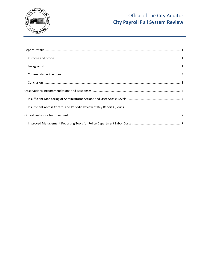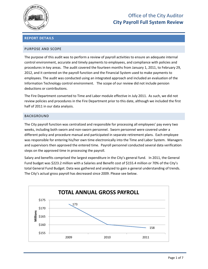

#### <span id="page-5-0"></span>**REPORT DETAILS**

#### <span id="page-5-1"></span>PURPOSE AND SCOPE

The purpose of this audit was to perform a review of payroll activities to ensure an adequate internal control environment, accurate and timely payments to employees, and compliance with policies and procedures in key areas. The audit covered the fourteen months from January 1, 2011, to February 29, 2012, and it centered on the payroll function and the Financial System used to make payments to employees. The audit was conducted using an integrated approach and included an evaluation of the Information Technology control environment. The scope of our review did not include pension deductions or contributions.

The Fire Department converted to Time and Labor module effective in July 2011. As such, we did not review policies and procedures in the Fire Department prior to this date, although we included the first half of 2011 in our data analysis.

#### <span id="page-5-2"></span>BACKGROUND

The City payroll function was centralized and responsible for processing all employees' pay every two weeks, including both sworn and non-sworn personnel. Sworn personnel were covered under a different policy and procedure manual and participated in separate retirement plans. Each employee was responsible for entering his/her own time electronically into the Time and Labor System. Managers and supervisors then approved the entered time. Payroll personnel conducted several data verification steps on the approved time in processing the payroll.

Salary and benefits comprised the largest expenditure in the City's general fund. In 2011, the General Fund budget was \$223.2 million with a Salaries and Benefit cost of \$155.4 million or 70% of the City's total General Fund Budget. Data was gathered and analyzed to gain a general understanding of trends. The City's actual gross payroll has decreased since 2009. Please see below.

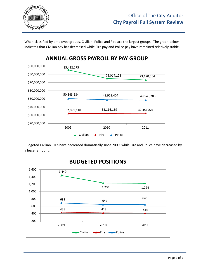

When classified by employee groups, Civilian, Police and Fire are the largest groups. The graph below indicates that Civilian pay has decreased while Fire pay and Police pay have remained relatively stable.



Budgeted Civilian FTEs have decreased dramatically since 2009, while Fire and Police have decreased by a lesser amount.

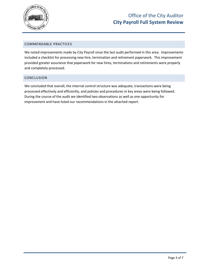

#### <span id="page-7-0"></span>COMMENDABLE PRACTICES

We noted improvements made by City Payroll since the last audit performed in this area. Improvements included a checklist for processing new hire, termination and retirement paperwork. This improvement provided greater assurance that paperwork for new hires, terminations and retirements were properly and completely processed.

#### <span id="page-7-1"></span>CONCLUSION

We concluded that overall, the internal control structure was adequate, transactions were being processed effectively and efficiently, and policies and procedures in key areas were being followed. During the course of the audit we identified two observations as well as one opportunity for improvement and have listed our recommendations in the attached report.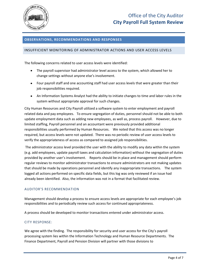

#### <span id="page-8-0"></span>**OBSERVATIONS, RECOMMENDATIONS AND RESPONSES**

#### <span id="page-8-1"></span>INSUFFICIENT MONITORING OF ADMINISTRATOR ACTIONS AND USER ACCESS LEVELS

The following concerns related to user access levels were identified:

- The payroll supervisor had administrator level access to the system, which allowed her to change settings without anyone else's involvement.
- Four payroll staff and one accounting staff had user access levels that were greater than their job responsibilities required.
- An Information Systems Analyst had the ability to initiate changes to time and labor rules in the system without appropriate approval for such changes.

City Human Resources and City Payroll utilized a software system to enter employment and payroll related data and pay employees. To ensure segregation of duties, personnel should not be able to both update employment data such as adding new employees, as well as, process payroll. However, due to limited staffing, Payroll personnel and an accountant were previously provided additional responsibilities usually performed by Human Resources. We noted that this access was no longer required, but access levels were not updated. There was no periodic review of user access levels to verify the appropriateness of access as compared to assigned job responsibilities.

The administrator access level provided the user with the ability to modify any data within the system (e.g. add employees, update payroll taxes and calculation information) without the segregation of duties provided by another user's involvement. Reports should be in place and management should perform regular reviews to monitor administrator transactions to ensure administrators are not making updates that should be made by operations personnel and identify any inappropriate transactions. The system logged all actions performed on specific data fields, but this log was only reviewed if an issue had already been identified. Also, the information was not in a format that facilitated review.

#### AUDITOR'S RECOMMENDATION

Management should develop a process to ensure access levels are appropriate for each employee's job responsibilities and to periodically review such access for continued appropriateness.

A process should be developed to monitor transactions entered under administrator access.

#### CITY RESPONSE:

We agree with the finding. The responsibility for security and user access for the City's payroll processing system lies within the Information Technology and Human Resource Departments. The Finance Department, Payroll and Pension Division will partner with those divisions to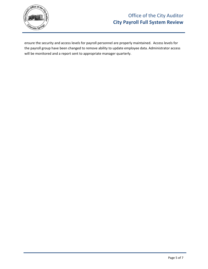

ensure the security and access levels for payroll personnel are properly maintained. Access levels for the payroll group have been changed to remove ability to update employee data. Administrator access will be monitored and a report sent to appropriate manager quarterly.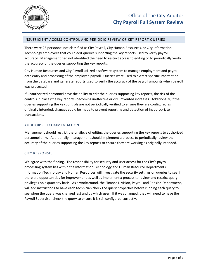

#### <span id="page-10-0"></span>INSUFFICIENT ACCESS CONTROL AND PERIODIC REVIEW OF KEY REPORT QUERIES

There were 26 personnel not classified as City Payroll, City Human Resources, or City Information Technology employees that could edit queries supporting the key reports used to verify payroll accuracy. Management had not identified the need to restrict access to editing or to periodically verify the accuracy of the queries supporting the key reports.

City Human Resources and City Payroll utilized a software system to manage employment and payroll data entry and processing of the employee payroll. Queries were used to extract specific information from the database and generate reports used to verify the accuracy of the payroll amounts when payroll was processed.

If unauthorized personnel have the ability to edit the queries supporting key reports, the risk of the controls in place (the key reports) becoming ineffective or circumvented increases. Additionally, if the queries supporting the key controls are not periodically verified to ensure they are configured as originally intended, changes could be made to prevent reporting and detection of inappropriate transactions.

#### AUDITOR'S RECOMMENDATION

Management should restrict the privilege of editing the queries supporting the key reports to authorized personnel only. Additionally, management should implement a process to periodically review the accuracy of the queries supporting the key reports to ensure they are working as originally intended.

#### CITY RESPONSE:

We agree with the finding. The responsibility for security and user access for the City's payroll processing system lies within the Information Technology and Human Resource Departments. Information Technology and Human Resources will investigate the security settings on queries to see if there are opportunities for improvement as well as implement a process to review and restrict query privileges on a quarterly basis. As a workaround, the Finance Division, Payroll and Pension Department, will add instructions to have each technician check the query properties before running each query to see when the query was changed last and by which user. If it was changed, they will need to have the Payroll Supervisor check the query to ensure it is still configured correctly.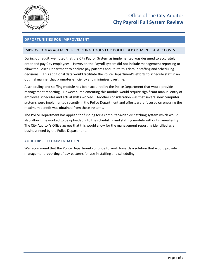

#### <span id="page-11-0"></span>**OPPORTUNITIES FOR IMPROVEMENT**

#### <span id="page-11-1"></span>IMPROVED MANAGEMENT REPORTING TOOLS FOR POLICE DEPARTMENT LABOR COSTS

During our audit, we noted that the City Payroll System as implemented was designed to accurately enter and pay City employees. However, the Payroll system did not include management reporting to allow the Police Department to analyze pay patterns and utilize this data in staffing and scheduling decisions. This additional data would facilitate the Police Department's efforts to schedule staff in an optimal manner that promotes efficiency and minimizes overtime.

A scheduling and staffing module has been acquired by the Police Department that would provide management reporting. However, implementing this module would require significant manual entry of employee schedules and actual shifts worked. Another consideration was that several new computer systems were implemented recently in the Police Department and efforts were focused on ensuring the maximum benefit was obtained from these systems.

The Police Department has applied for funding for a computer-aided dispatching system which would also allow time worked to be uploaded into the scheduling and staffing module without manual entry. The City Auditor's Office agrees that this would allow for the management reporting identified as a business need by the Police Department.

#### AUDITOR'S RECOMMENDATION

We recommend that the Police Department continue to work towards a solution that would provide management reporting of pay patterns for use in staffing and scheduling.